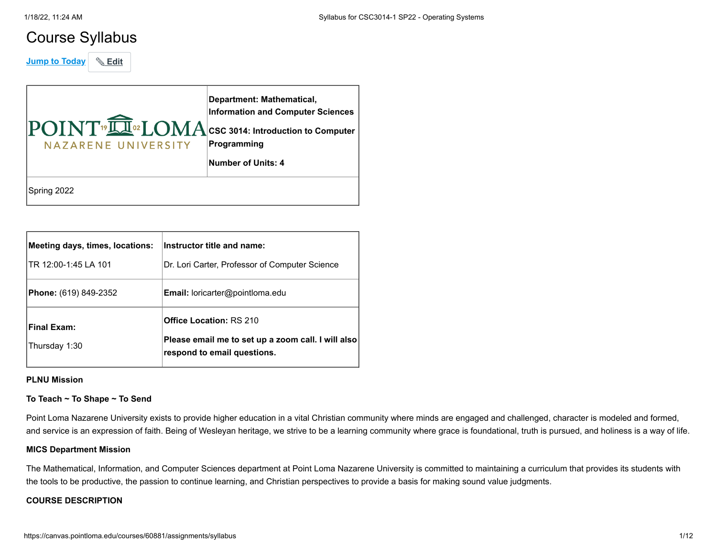# Course Syllabus

**Jump to Today** & Edit

| $\overline{\mathrm{POINT}}$ <sup>19</sup> $\overline{\mathrm{LU}}$ <sup>02</sup> LOMA CSC 3014: Introduction to Computer<br>NAZARENE UNIVERSITY | Department: Mathematical,<br><b>Information and Computer Sciences</b><br>Programming<br>Number of Units: 4 |
|-------------------------------------------------------------------------------------------------------------------------------------------------|------------------------------------------------------------------------------------------------------------|
| Spring 2022                                                                                                                                     |                                                                                                            |

| Meeting days, times, locations:<br>ITR 12:00-1:45 LA 101 | Instructor title and name:<br>Dr. Lori Carter, Professor of Computer Science                                        |
|----------------------------------------------------------|---------------------------------------------------------------------------------------------------------------------|
| <b>Phone:</b> (619) 849-2352                             | <b>Email:</b> loricarter@pointloma.edu                                                                              |
| Final Exam:<br>Thursday 1:30                             | <b>Office Location: RS 210</b><br>Please email me to set up a zoom call. I will also<br>respond to email questions. |

# **PLNU Mission**

# **To Teach ~ To Shape ~ To Send**

Point Loma Nazarene University exists to provide higher education in a vital Christian community where minds are engaged and challenged, character is modeled and formed, and service is an expression of faith. Being of Wesleyan heritage, we strive to be a learning community where grace is foundational, truth is pursued, and holiness is a way of life.

# **MICS Department Mission**

The Mathematical, Information, and Computer Sciences department at Point Loma Nazarene University is committed to maintaining a curriculum that provides its students with the tools to be productive, the passion to continue learning, and Christian perspectives to provide a basis for making sound value judgments.

# **COURSE DESCRIPTION**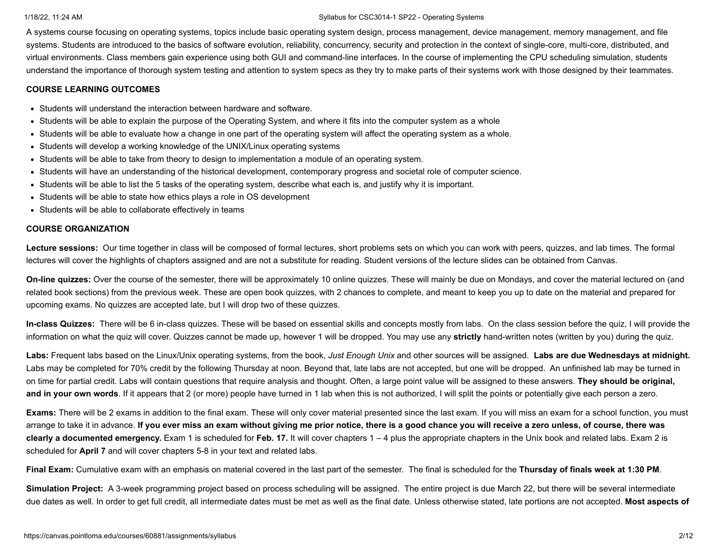A systems course focusing on operating systems, topics include basic operating system design, process management, device management, memory management, and file systems. Students are introduced to the basics of software evolution, reliability, concurrency, security and protection in the context of single-core, multi-core, distributed, and virtual environments. Class members gain experience using both GUI and command-line interfaces. In the course of implementing the CPU scheduling simulation, students understand the importance of thorough system testing and attention to system specs as they try to make parts of their systems work with those designed by their teammates.

# **COURSE LEARNING OUTCOMES**

- Students will understand the interaction between hardware and software.
- Students will be able to explain the purpose of the Operating System, and where it fits into the computer system as a whole
- Students will be able to evaluate how a change in one part of the operating system will affect the operating system as a whole.
- Students will develop a working knowledge of the UNIX/Linux operating systems
- Students will be able to take from theory to design to implementation a module of an operating system.
- Students will have an understanding of the historical development, contemporary progress and societal role of computer science.
- Students will be able to list the 5 tasks of the operating system, describe what each is, and justify why it is important.
- Students will be able to state how ethics plays a role in OS development
- Students will be able to collaborate effectively in teams

# **COURSE ORGANIZATION**

Lecture sessions: Our time together in class will be composed of formal lectures, short problems sets on which you can work with peers, quizzes, and lab times. The formal lectures will cover the highlights of chapters assigned and are not a substitute for reading. Student versions of the lecture slides can be obtained from Canvas.

**On-line quizzes:** Over the course of the semester, there will be approximately 10 online quizzes. These will mainly be due on Mondays, and cover the material lectured on (and related book sections) from the previous week. These are open book quizzes, with 2 chances to complete, and meant to keep you up to date on the material and prepared for upcoming exams. No quizzes are accepted late, but I will drop two of these quizzes.

**In-class Quizzes:** There will be 6 in-class quizzes. These will be based on essential skills and concepts mostly from labs. On the class session before the quiz, I will provide the information on what the quiz will cover. Quizzes cannot be made up, however 1 will be dropped. You may use any **strictly** hand-written notes (written by you) during the quiz.

**Labs:** Frequent labs based on the Linux/Unix operating systems, from the book, *Just Enough Unix* and other sources will be assigned. **Labs are due Wednesdays at midnight.** Labs may be completed for 70% credit by the following Thursday at noon. Beyond that, late labs are not accepted, but one will be dropped. An unfinished lab may be turned in on time for partial credit. Labs will contain questions that require analysis and thought. Often, a large point value will be assigned to these answers. **They should be original,** and in your own words. If it appears that 2 (or more) people have turned in 1 lab when this is not authorized, I will split the points or potentially give each person a zero.

**Exams:** There will be 2 exams in addition to the final exam. These will only cover material presented since the last exam. If you will miss an exam for a school function, you must arrange to take it in advance. **If you ever miss an exam without giving me prior notice, there is a good chance you will receive a zero unless, of course, there was clearly a documented emergency.** Exam 1 is scheduled for **Feb. 17.** It will cover chapters 1 – 4 plus the appropriate chapters in the Unix book and related labs. Exam 2 is scheduled for **April 7** and will cover chapters 5-8 in your text and related labs.

**Final Exam:** Cumulative exam with an emphasis on material covered in the last part of the semester. The final is scheduled for the **Thursday of finals week at 1:30 PM**.

**Simulation Project:** A 3-week programming project based on process scheduling will be assigned. The entire project is due March 22, but there will be several intermediate due dates as well. In order to get full credit, all intermediate dates must be met as well as the final date. Unless otherwise stated, late portions are not accepted. **Most aspects of**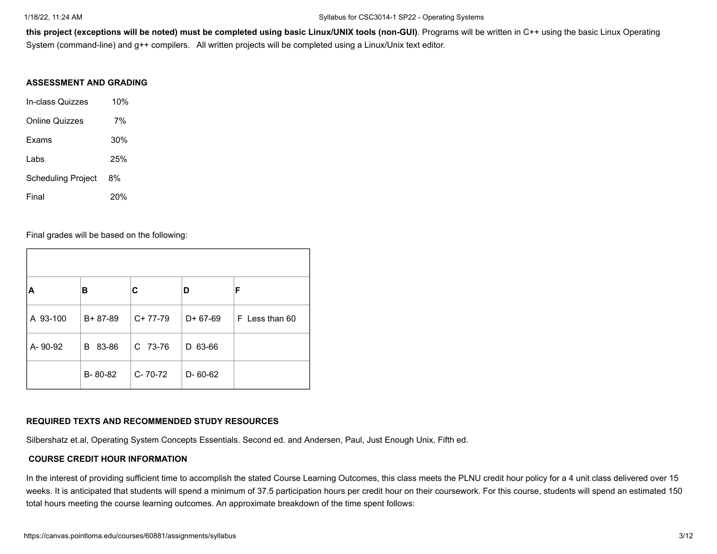**this project (exceptions will be noted) must be completed using basic Linux/UNIX tools (non-GUI)**. Programs will be written in C++ using the basic Linux Operating System (command-line) and g++ compilers. All written projects will be completed using a Linux/Unix text editor.

# **ASSESSMENT AND GRADING**

| In-class Quizzes          | 10% |  |
|---------------------------|-----|--|
| <b>Online Quizzes</b>     | 7%  |  |
| Exams                     | 30% |  |
| Labs                      | 25% |  |
| <b>Scheduling Project</b> | 8%  |  |
| Final                     | 20% |  |

Final grades will be based on the following:

| ΙA       | в             | С         | D          | F              |
|----------|---------------|-----------|------------|----------------|
| A 93-100 | $B + 87 - 89$ | $C+77-79$ | $D+67-69$  | F Less than 60 |
| A-90-92  | 83-86<br>B    | C 73-76   | 63-66<br>D |                |
|          | B-80-82       | C-70-72   | D-60-62    |                |

# **REQUIRED TEXTS AND RECOMMENDED STUDY RESOURCES**

Silbershatz et.al, Operating System Concepts Essentials. Second ed. and Andersen, Paul, Just Enough Unix, Fifth ed.

# **COURSE CREDIT HOUR INFORMATION**

In the interest of providing sufficient time to accomplish the stated Course Learning Outcomes, this class meets the PLNU credit hour policy for a 4 unit class delivered over 15 weeks. It is anticipated that students will spend a minimum of 37.5 participation hours per credit hour on their coursework. For this course, students will spend an estimated 150 total hours meeting the course learning outcomes. An approximate breakdown of the time spent follows: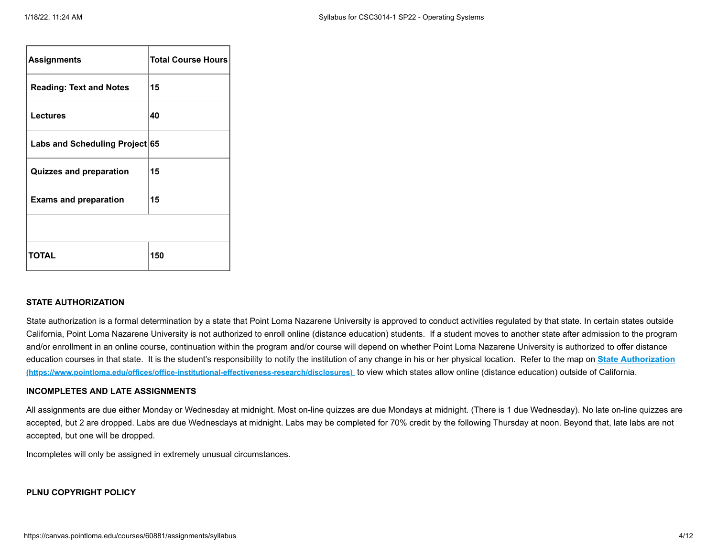| <b>Assignments</b>             | <b>Total Course Hours</b> |
|--------------------------------|---------------------------|
| <b>Reading: Text and Notes</b> | 15                        |
| <b>Lectures</b>                | 40                        |
| Labs and Scheduling Project 65 |                           |
| <b>Quizzes and preparation</b> | 15                        |
| <b>Exams and preparation</b>   | 15                        |
|                                |                           |
| <b>TOTAL</b>                   | 150                       |

# **STATE AUTHORIZATION**

State authorization is a formal determination by a state that Point Loma Nazarene University is approved to conduct activities regulated by that state. In certain states outside California, Point Loma Nazarene University is not authorized to enroll online (distance education) students. If a student moves to another state after admission to the program and/or enrollment in an online course, continuation within the program and/or course will depend on whether Point Loma Nazarene University is authorized to offer distance [education courses in that state. It is the student's responsibility to notify the institution of any change in his or her physical location.](https://www.pointloma.edu/offices/office-institutional-effectiveness-research/disclosures) Refer to the map on **State Authorization (https://www.pointloma.edu/offices/office-institutional-effectiveness-research/disclosures)** to view which states allow online (distance education) outside of California.

# **INCOMPLETES AND LATE ASSIGNMENTS**

All assignments are due either Monday or Wednesday at midnight. Most on-line quizzes are due Mondays at midnight. (There is 1 due Wednesday). No late on-line quizzes are accepted, but 2 are dropped. Labs are due Wednesdays at midnight. Labs may be completed for 70% credit by the following Thursday at noon. Beyond that, late labs are not accepted, but one will be dropped.

Incompletes will only be assigned in extremely unusual circumstances.

# **PLNU COPYRIGHT POLICY**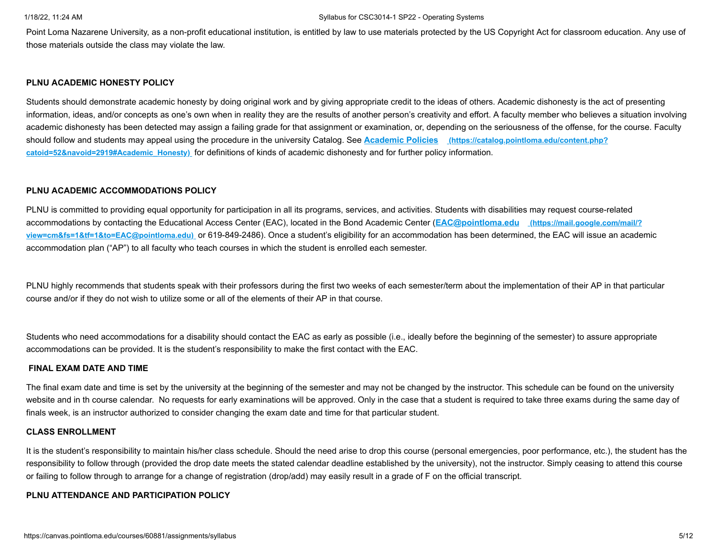Point Loma Nazarene University, as a non-profit educational institution, is entitled by law to use materials protected by the US Copyright Act for classroom education. Any use of those materials outside the class may violate the law.

# **PLNU ACADEMIC HONESTY POLICY**

Students should demonstrate academic honesty by doing original work and by giving appropriate credit to the ideas of others. Academic dishonesty is the act of presenting information, ideas, and/or concepts as one's own when in reality they are the results of another person's creativity and effort. A faculty member who believes a situation involving academic dishonesty has been detected may assign a failing grade for that assignment or examination, or, depending on the seriousness of the offense, for the course. Faculty [should follow and students may appeal using the procedure in the university Catalog. See](https://catalog.pointloma.edu/content.php?catoid=52&navoid=2919#Academic_Honesty) **Academic Policies (https://catalog.pointloma.edu/content.php? catoid=52&navoid=2919#Academic\_Honesty)** for definitions of kinds of academic dishonesty and for further policy information.

# **PLNU ACADEMIC ACCOMMODATIONS POLICY**

PLNU is committed to providing equal opportunity for participation in all its programs, services, and activities. Students with disabilities may request course-related accommodations by contacting the Educational Access Center (EAC), located in the Bond Academic Center (**EAC@pointloma.edu (https://mail.google.com/mail/? view=cm&fs=1&tf=1&to=EAC@pointloma.edu)** [or 619-849-2486\). Once a student's eligibility for an accommodation has been determined, the EAC will issue an acade](https://mail.google.com/mail/?view=cm&fs=1&tf=1&to=EAC@pointloma.edu)mic accommodation plan ("AP") to all faculty who teach courses in which the student is enrolled each semester.

PLNU highly recommends that students speak with their professors during the first two weeks of each semester/term about the implementation of their AP in that particular course and/or if they do not wish to utilize some or all of the elements of their AP in that course.

Students who need accommodations for a disability should contact the EAC as early as possible (i.e., ideally before the beginning of the semester) to assure appropriate accommodations can be provided. It is the student's responsibility to make the first contact with the EAC.

# **FINAL EXAM DATE AND TIME**

The final exam date and time is set by the university at the beginning of the semester and may not be changed by the instructor. This schedule can be found on the university website and in th course calendar. No requests for early examinations will be approved. Only in the case that a student is required to take three exams during the same day of finals week, is an instructor authorized to consider changing the exam date and time for that particular student.

# **CLASS ENROLLMENT**

It is the student's responsibility to maintain his/her class schedule. Should the need arise to drop this course (personal emergencies, poor performance, etc.), the student has the responsibility to follow through (provided the drop date meets the stated calendar deadline established by the university), not the instructor. Simply ceasing to attend this course or failing to follow through to arrange for a change of registration (drop/add) may easily result in a grade of F on the official transcript.

# **PLNU ATTENDANCE AND PARTICIPATION POLICY**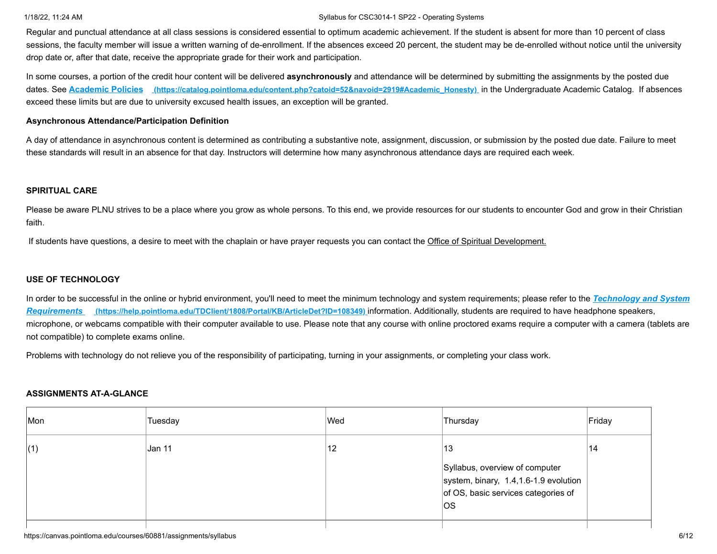Regular and punctual attendance at all class sessions is considered essential to optimum academic achievement. If the student is absent for more than 10 percent of class sessions, the faculty member will issue a written warning of de-enrollment. If the absences exceed 20 percent, the student may be de-enrolled without notice until the university drop date or, after that date, receive the appropriate grade for their work and participation.

In some courses, a portion of the credit hour content will be delivered **asynchronously** and attendance will be determined by submitting the assignments by the posted due dates. See **Academic Policies [\(https://catalog.pointloma.edu/content.php?catoid=52&navoid=2919#Academic\\_Honesty\)](https://catalog.pointloma.edu/content.php?catoid=52&navoid=2919#Academic_Honesty)** in the Undergraduate Academic Catalog. If absences exceed these limits but are due to university excused health issues, an exception will be granted.

## **Asynchronous Attendance/Participation Definition**

A day of attendance in asynchronous content is determined as contributing a substantive note, assignment, discussion, or submission by the posted due date. Failure to meet these standards will result in an absence for that day. Instructors will determine how many asynchronous attendance days are required each week.

## **SPIRITUAL CARE**

Please be aware PLNU strives to be a place where you grow as whole persons. To this end, we provide resources for our students to encounter God and grow in their Christian faith.

If students have questions, a desire to meet with the chaplain or have prayer requests you can contact the Office of Spiritual Development.

# **USE OF TECHNOLOGY**

[In order to be successful in the online or hybrid environment, you'll need to meet the minimum technology and system requirements; please refer to the](https://help.pointloma.edu/TDClient/1808/Portal/KB/ArticleDet?ID=108349) *Technology and System Requirements* **(https://help.pointloma.edu/TDClient/1808/Portal/KB/ArticleDet?ID=108349)** information. Additionally, students are required to have headphone speakers, microphone, or webcams compatible with their computer available to use. Please note that any course with online proctored exams require a computer with a camera (tablets are not compatible) to complete exams online.

Problems with technology do not relieve you of the responsibility of participating, turning in your assignments, or completing your class work.

### **ASSIGNMENTS AT-A-GLANCE**

| Mon | Tuesday | Wed | Thursday                                                                                                              | Friday |
|-----|---------|-----|-----------------------------------------------------------------------------------------------------------------------|--------|
| (1) | Jan 11  | 12  | 13                                                                                                                    | 14     |
|     |         |     | Syllabus, overview of computer<br>system, binary, 1.4,1.6-1.9 evolution<br>of OS, basic services categories of<br>los |        |
|     |         |     |                                                                                                                       |        |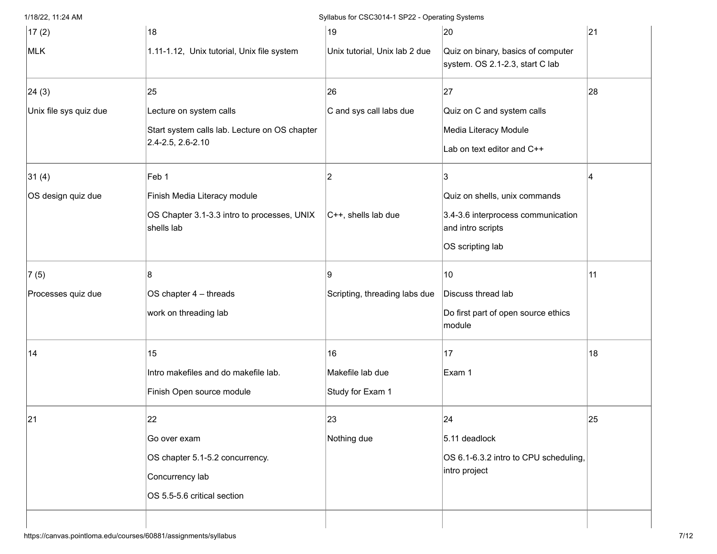| 17(2)                  | 18                                                                                                      | 19                                         | 20                                                                                                           | 21 |
|------------------------|---------------------------------------------------------------------------------------------------------|--------------------------------------------|--------------------------------------------------------------------------------------------------------------|----|
| MLK                    | 1.11-1.12, Unix tutorial, Unix file system                                                              | Unix tutorial, Unix lab 2 due              | Quiz on binary, basics of computer<br>system. OS 2.1-2.3, start C lab                                        |    |
| 24(3)                  | 25                                                                                                      | 26                                         | 27                                                                                                           | 28 |
| Unix file sys quiz due | Lecture on system calls<br>Start system calls lab. Lecture on OS chapter<br>2.4-2.5, 2.6-2.10           | C and sys call labs due                    | Quiz on C and system calls<br>Media Literacy Module<br>Lab on text editor and C++                            |    |
| 31(4)                  | Feb 1                                                                                                   | 2                                          |                                                                                                              |    |
| OS design quiz due     | Finish Media Literacy module<br>OS Chapter 3.1-3.3 intro to processes, UNIX<br>shells lab               | $ C++ $ , shells lab due                   | Quiz on shells, unix commands<br>3.4-3.6 interprocess communication<br>and intro scripts<br>OS scripting lab |    |
| 7(5)                   | 8                                                                                                       | 9                                          | 10                                                                                                           | 11 |
| Processes quiz due     | OS chapter 4 - threads<br>work on threading lab                                                         | Scripting, threading labs due              | Discuss thread lab<br>Do first part of open source ethics<br>module                                          |    |
| 14                     | 15<br>Intro makefiles and do makefile lab.<br>Finish Open source module                                 | 16<br>Makefile lab due<br>Study for Exam 1 | 17<br>Exam 1                                                                                                 | 18 |
| 21                     | 22<br>Go over exam<br>OS chapter 5.1-5.2 concurrency.<br>Concurrency lab<br>OS 5.5-5.6 critical section | 23<br>Nothing due                          | 24<br>5.11 deadlock<br>OS 6.1-6.3.2 intro to CPU scheduling,<br>intro project                                | 25 |
|                        |                                                                                                         |                                            |                                                                                                              |    |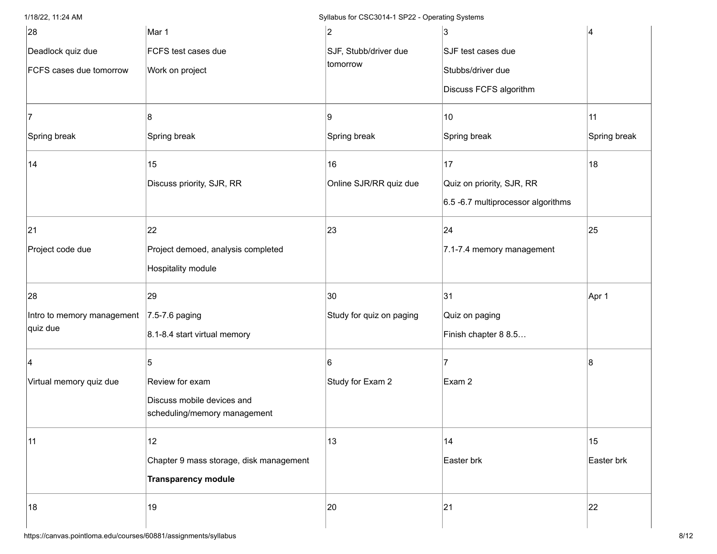| 28                         | Mar 1                                   | 2                        | 3                                    | 4            |
|----------------------------|-----------------------------------------|--------------------------|--------------------------------------|--------------|
| Deadlock quiz due          | FCFS test cases due                     | SJF, Stubb/driver due    | SJF test cases due                   |              |
| FCFS cases due tomorrow    | Work on project                         | tomorrow                 | Stubbs/driver due                    |              |
|                            |                                         |                          | Discuss FCFS algorithm               |              |
|                            | 8                                       | Ι9                       | 10                                   | 11           |
| Spring break               | Spring break                            | Spring break             | Spring break                         | Spring break |
| 14                         | 15                                      | 16                       | 17                                   | 18           |
|                            | Discuss priority, SJR, RR               | Online SJR/RR quiz due   | Quiz on priority, SJR, RR            |              |
|                            |                                         |                          | $6.5$ -6.7 multiprocessor algorithms |              |
| 21                         | 22                                      | 23                       | 24                                   | 25           |
| Project code due           | Project demoed, analysis completed      |                          | 7.1-7.4 memory management            |              |
|                            | Hospitality module                      |                          |                                      |              |
| 28                         | 29                                      | 30                       | 31                                   | Apr 1        |
| Intro to memory management | $7.5 - 7.6$ paging                      | Study for quiz on paging | Quiz on paging                       |              |
| quiz due                   | 8.1-8.4 start virtual memory            |                          | Finish chapter 8 8.5                 |              |
|                            | 5                                       | 6                        |                                      | 8            |
| Virtual memory quiz due    | Review for exam                         | Study for Exam 2         | Exam 2                               |              |
|                            | Discuss mobile devices and              |                          |                                      |              |
|                            | scheduling/memory management            |                          |                                      |              |
| 11                         | 12                                      | 13                       | 14                                   | 15           |
|                            | Chapter 9 mass storage, disk management |                          | Easter brk                           | Easter brk   |
|                            | <b>Transparency module</b>              |                          |                                      |              |
| 18                         | 19                                      | 20                       | 21                                   | 22           |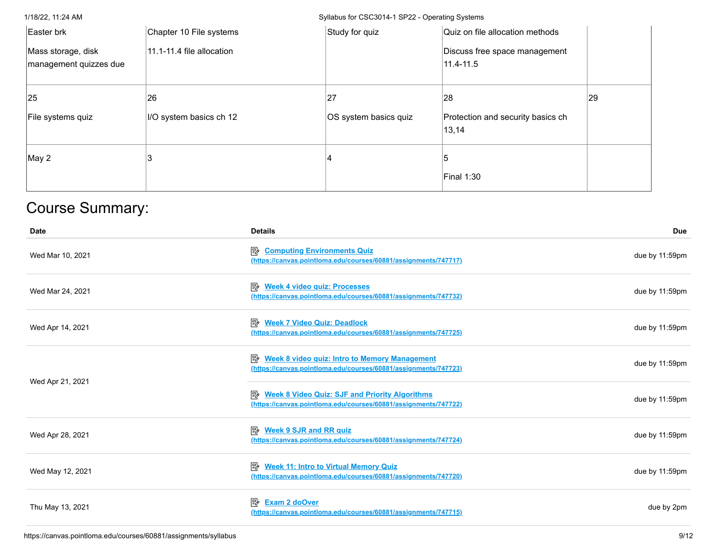| Easter brk                                   | Chapter 10 File systems   | Study for quiz        | Quiz on file allocation methods            |    |
|----------------------------------------------|---------------------------|-----------------------|--------------------------------------------|----|
| Mass storage, disk<br>management quizzes due | 11.1-11.4 file allocation |                       | Discuss free space management<br>11.4-11.5 |    |
| 25                                           | 26                        | 27                    | 28                                         | 29 |
| File systems quiz                            | I/O system basics ch 12   | OS system basics quiz | Protection and security basics ch<br>13,14 |    |
| May 2                                        |                           |                       |                                            |    |
|                                              |                           |                       |                                            |    |

# Course Summary:

| <b>Date</b>      | <b>Details</b>                                                                                                               | <b>Due</b>     |
|------------------|------------------------------------------------------------------------------------------------------------------------------|----------------|
| Wed Mar 10, 2021 | <b>Computing Environments Quiz</b><br>昬<br>(https://canvas.pointloma.edu/courses/60881/assignments/747717)                   | due by 11:59pm |
| Wed Mar 24, 2021 | 國<br><b>Week 4 video quiz: Processes</b><br>(https://canvas.pointloma.edu/courses/60881/assignments/747732)                  | due by 11:59pm |
| Wed Apr 14, 2021 | 昬<br><b>Week 7 Video Quiz: Deadlock</b><br>(https://canvas.pointloma.edu/courses/60881/assignments/747725)                   | due by 11:59pm |
|                  | 國<br><b>Week 8 video quiz: Intro to Memory Management</b><br>(https://canvas.pointloma.edu/courses/60881/assignments/747723) | due by 11:59pm |
| Wed Apr 21, 2021 | <b>E</b> Week 8 Video Quiz: SJF and Priority Algorithms<br>(https://canvas.pointloma.edu/courses/60881/assignments/747722)   | due by 11:59pm |
| Wed Apr 28, 2021 | 駗<br><b>Week 9 SJR and RR quiz</b><br>(https://canvas.pointloma.edu/courses/60881/assignments/747724)                        | due by 11:59pm |
| Wed May 12, 2021 | 駗<br><b>Week 11: Intro to Virtual Memory Quiz</b><br>(https://canvas.pointloma.edu/courses/60881/assignments/747720)         | due by 11:59pm |
| Thu May 13, 2021 | 昬<br><b>Exam 2 doOver</b><br>(https://canvas.pointloma.edu/courses/60881/assignments/747715)                                 | due by 2pm     |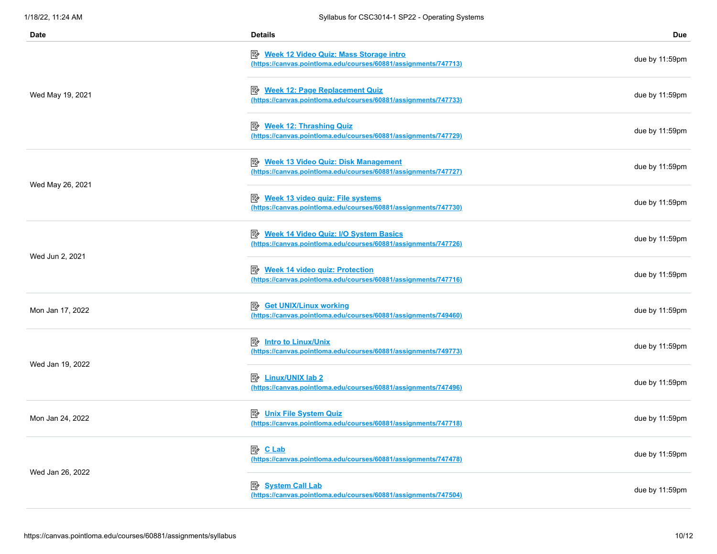| Date             | <b>Details</b>                                                                                                     | Due            |
|------------------|--------------------------------------------------------------------------------------------------------------------|----------------|
|                  | Week 12 Video Quiz: Mass Storage intro<br>(https://canvas.pointloma.edu/courses/60881/assignments/747713)          | due by 11:59pm |
| Wed May 19, 2021 | Week 12: Page Replacement Quiz<br>(https://canvas.pointloma.edu/courses/60881/assignments/747733)                  | due by 11:59pm |
|                  | <b>B</b> Week 12: Thrashing Quiz<br>(https://canvas.pointloma.edu/courses/60881/assignments/747729)                | due by 11:59pm |
| Wed May 26, 2021 | <b>Week 13 Video Quiz: Disk Management</b><br>郾<br>(https://canvas.pointloma.edu/courses/60881/assignments/747727) | due by 11:59pm |
|                  | <b>A</b> Week 13 video quiz: File systems<br>(https://canvas.pointloma.edu/courses/60881/assignments/747730)       | due by 11:59pm |
| Wed Jun 2, 2021  | Week 14 Video Quiz: I/O System Basics<br>(https://canvas.pointloma.edu/courses/60881/assignments/747726)           | due by 11:59pm |
|                  | 國<br><b>Week 14 video quiz: Protection</b><br>(https://canvas.pointloma.edu/courses/60881/assignments/747716)      | due by 11:59pm |
| Mon Jan 17, 2022 | 國<br><b>Get UNIX/Linux working</b><br>(https://canvas.pointloma.edu/courses/60881/assignments/749460)              | due by 11:59pm |
|                  | <b>B</b> Intro to Linux/Unix<br>(https://canvas.pointloma.edu/courses/60881/assignments/749773)                    | due by 11:59pm |
| Wed Jan 19, 2022 | <b>B</b> Linux/UNIX lab 2<br>(https://canvas.pointloma.edu/courses/60881/assignments/747496)                       | due by 11:59pm |
| Mon Jan 24, 2022 | <b>Unix File System Quiz</b><br>駗<br>(https://canvas.pointloma.edu/courses/60881/assignments/747718)               | due by 11:59pm |
|                  | 图 CLab<br>(https://canvas.pointloma.edu/courses/60881/assignments/747478)                                          | due by 11:59pm |
| Wed Jan 26, 2022 | 暨<br><b>System Call Lab</b><br>(https://canvas.pointloma.edu/courses/60881/assignments/747504)                     | due by 11:59pm |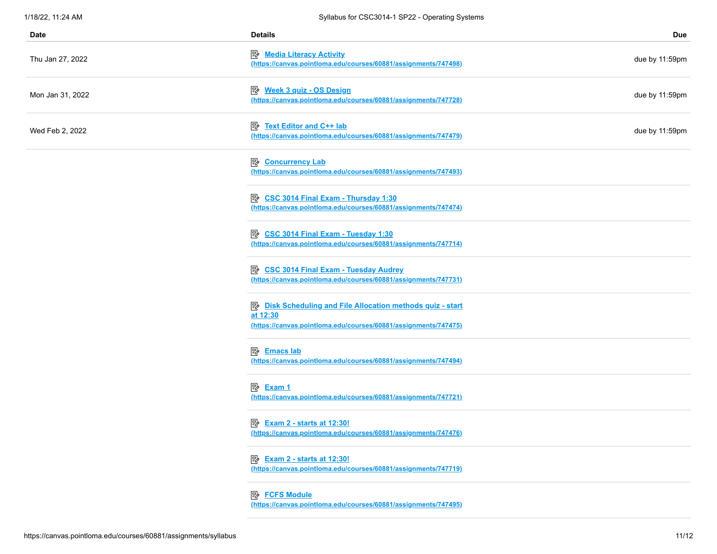| Date             | <b>Details</b>                                                                                                                          | <b>Due</b>     |
|------------------|-----------------------------------------------------------------------------------------------------------------------------------------|----------------|
| Thu Jan 27, 2022 | <b>B</b> Media Literacy Activity<br>(https://canvas.pointloma.edu/courses/60881/assignments/747498)                                     | due by 11:59pm |
| Mon Jan 31, 2022 | <b>B</b> Week 3 quiz - OS Design<br>(https://canvas.pointloma.edu/courses/60881/assignments/747728)                                     | due by 11:59pm |
| Wed Feb 2, 2022  | <b>B</b> Text Editor and C++ lab<br>(https://canvas.pointloma.edu/courses/60881/assignments/747479)                                     | due by 11:59pm |
|                  | 暨<br><b>Concurrency Lab</b><br>(https://canvas.pointloma.edu/courses/60881/assignments/747493)                                          |                |
|                  | CSC 3014 Final Exam - Thursday 1:30<br>郾<br>(https://canvas.pointloma.edu/courses/60881/assignments/747474)                             |                |
|                  | <b>B</b> CSC 3014 Final Exam - Tuesday 1:30<br>(https://canvas.pointloma.edu/courses/60881/assignments/747714)                          |                |
|                  | <b>E</b> CSC 3014 Final Exam - Tuesday Audrey<br>(https://canvas.pointloma.edu/courses/60881/assignments/747731)                        |                |
|                  | Disk Scheduling and File Allocation methods quiz - start<br>at 12:30<br>(https://canvas.pointloma.edu/courses/60881/assignments/747475) |                |
|                  | <b>B</b> Emacs lab<br>(https://canvas.pointloma.edu/courses/60881/assignments/747494)                                                   |                |
|                  | 图 Exam 1<br>(https://canvas.pointloma.edu/courses/60881/assignments/747721)                                                             |                |
|                  | <b>B</b> Exam 2 - starts at 12:30!<br>(https://canvas.pointloma.edu/courses/60881/assignments/747476)                                   |                |
|                  | <b>B</b> Exam 2 - starts at 12:30!<br>(https://canvas.pointloma.edu/courses/60881/assignments/747719)                                   |                |
|                  | <b>B</b> FCFS Module<br>(https://canvas.pointloma.edu/courses/60881/assignments/747495)                                                 |                |